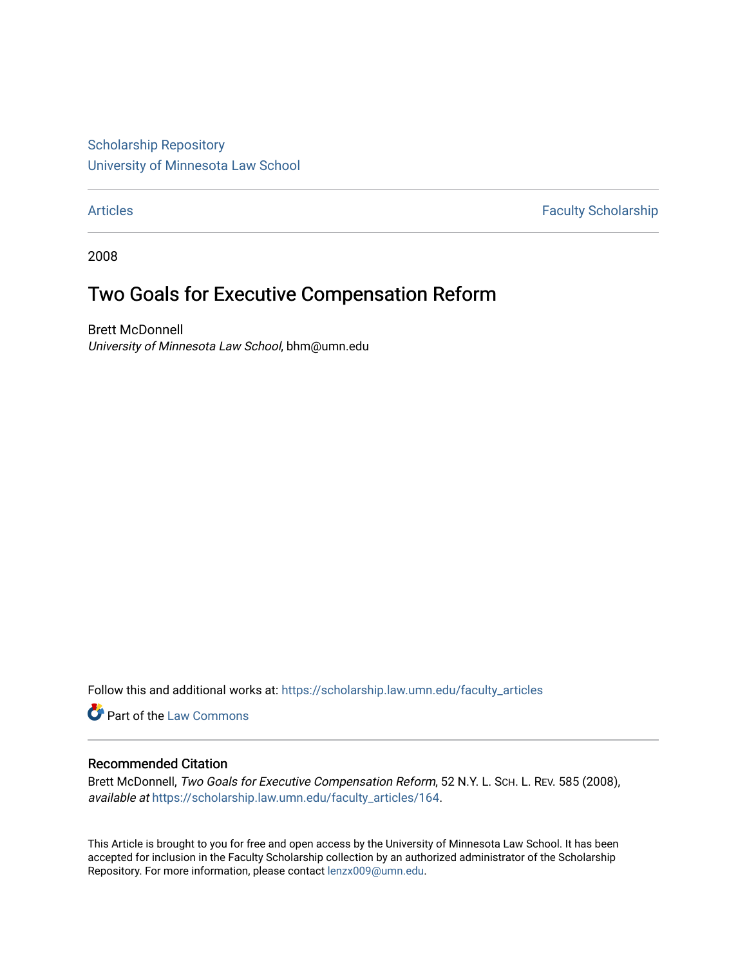[Scholarship Repository](https://scholarship.law.umn.edu/?utm_source=scholarship.law.umn.edu%2Ffaculty_articles%2F164&utm_medium=PDF&utm_campaign=PDFCoverPages) [University of Minnesota Law School](https://scholarship.law.umn.edu/?utm_source=scholarship.law.umn.edu%2Ffaculty_articles%2F164&utm_medium=PDF&utm_campaign=PDFCoverPages)

[Articles](https://scholarship.law.umn.edu/faculty_articles?utm_source=scholarship.law.umn.edu%2Ffaculty_articles%2F164&utm_medium=PDF&utm_campaign=PDFCoverPages) **Faculty Scholarship** 

2008

## Two Goals for Executive Compensation Reform

Brett McDonnell University of Minnesota Law School, bhm@umn.edu

Follow this and additional works at: [https://scholarship.law.umn.edu/faculty\\_articles](https://scholarship.law.umn.edu/faculty_articles?utm_source=scholarship.law.umn.edu%2Ffaculty_articles%2F164&utm_medium=PDF&utm_campaign=PDFCoverPages)

Part of the [Law Commons](https://network.bepress.com/hgg/discipline/578?utm_source=scholarship.law.umn.edu%2Ffaculty_articles%2F164&utm_medium=PDF&utm_campaign=PDFCoverPages)

## Recommended Citation

Brett McDonnell, Two Goals for Executive Compensation Reform, 52 N.Y. L. Sch. L. REV. 585 (2008), available at [https://scholarship.law.umn.edu/faculty\\_articles/164](https://scholarship.law.umn.edu/faculty_articles/164?utm_source=scholarship.law.umn.edu%2Ffaculty_articles%2F164&utm_medium=PDF&utm_campaign=PDFCoverPages).

This Article is brought to you for free and open access by the University of Minnesota Law School. It has been accepted for inclusion in the Faculty Scholarship collection by an authorized administrator of the Scholarship Repository. For more information, please contact [lenzx009@umn.edu.](mailto:lenzx009@umn.edu)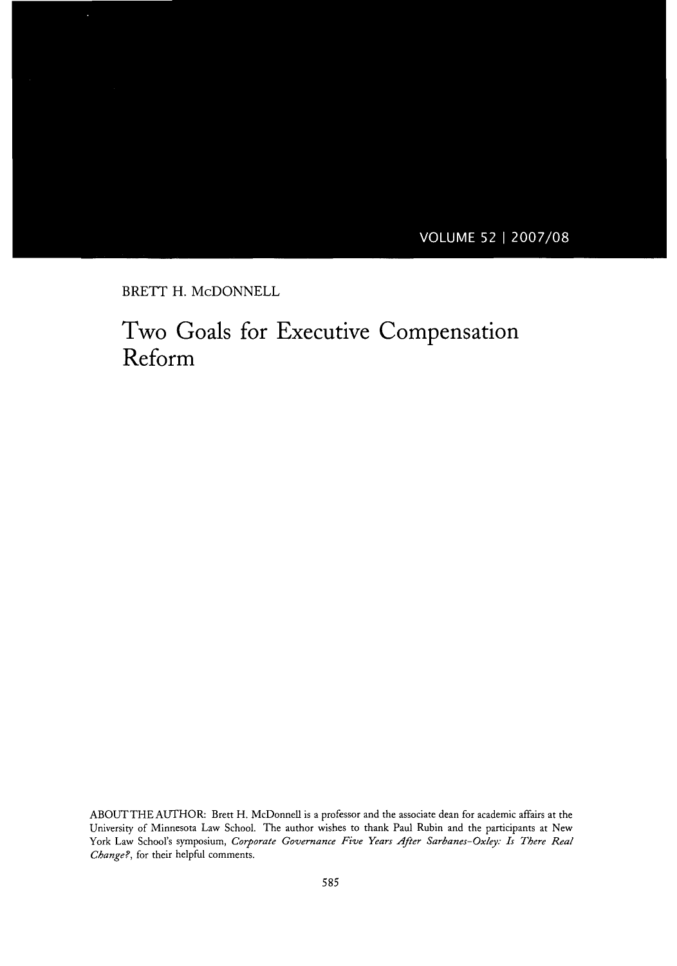**VOLUME 52 | 2007/08** 

BRETT H. McDONNELL

٠

## Two Goals for Executive Compensation Reform

**ABOUTTHEAUTHOR:** Brett H. McDonnell is a professor and the associate dean for academic affairs at the University of Minnesota Law School. The author wishes to thank Paul Rubin and the participants at New York Law School's symposium, *Corporate Governance Five Years After Sarbanes- Oxley: Is There Real Change?,* for their helpful comments.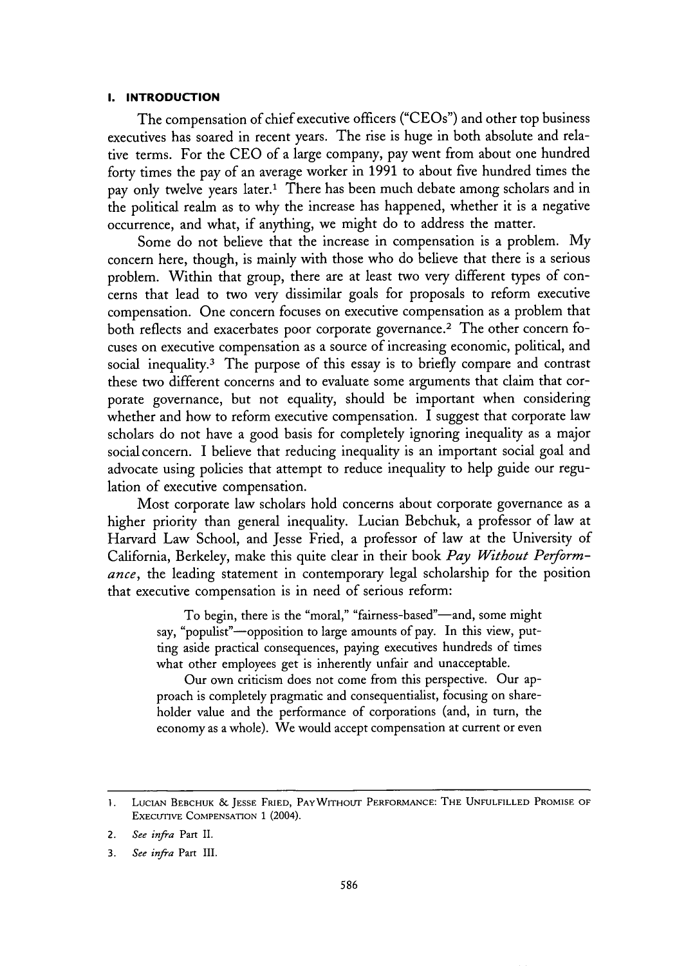#### **I. INTRODUCTION**

The compensation of chief executive officers ("CEOs") and other top business executives has soared in recent years. The rise is huge in both absolute and relative terms. For the CEO of a large company, pay went from about one hundred forty times the pay of an average worker in 1991 to about five hundred times the pay only twelve years later.1 There has been much debate among scholars and in the political realm as to why the increase has happened, whether it is a negative occurrence, and what, if anything, we might do to address the matter.

Some do not believe that the increase in compensation is a problem. My concern here, though, is mainly with those who do believe that there is a serious problem. Within that group, there are at least two very different types of concerns that lead to two very dissimilar goals for proposals to reform executive compensation. One concern focuses on executive compensation as a problem that both reflects and exacerbates poor corporate governance.<sup>2</sup> The other concern focuses on executive compensation as a source of increasing economic, political, and social inequality.<sup>3</sup> The purpose of this essay is to briefly compare and contrast these two different concerns and to evaluate some arguments that claim that corporate governance, but not equality, should be important when considering whether and how to reform executive compensation. I suggest that corporate law scholars do not have a good basis for completely ignoring inequality as a major social concern. I believe that reducing inequality is an important social goal and advocate using policies that attempt to reduce inequality to help guide our regulation of executive compensation.

Most corporate law scholars hold concerns about corporate governance as a higher priority than general inequality. Lucian Bebchuk, a professor of law at Harvard Law School, and Jesse Fried, a professor of law at the University of California, Berkeley, make this quite clear in their book *Pay Without Performance,* the leading statement in contemporary legal scholarship for the position that executive compensation is in need of serious reform:

> To begin, there is the "moral," "fairness-based"-and, some might say, "populist"-opposition to large amounts of pay. In this view, putting aside practical consequences, paying executives hundreds of times what other employees get is inherently unfair and unacceptable.

> Our own criticism does not come from this perspective. Our approach is completely pragmatic and consequentialist, focusing on shareholder value and the performance of corporations (and, in turn, the economy as a whole). We would accept compensation at current or even

<sup>1.</sup> LUCIAN BEBCHUK & **JESSE** FRIED, PAYWITHOUT PERFORMANCE: **THE UNFULFILLED** PROMISE OF EXEcUTIVE COMPENSATION **1** (2004).

<sup>2.</sup> *See infra* Part II.

<sup>3.</sup> *See infra* Part III.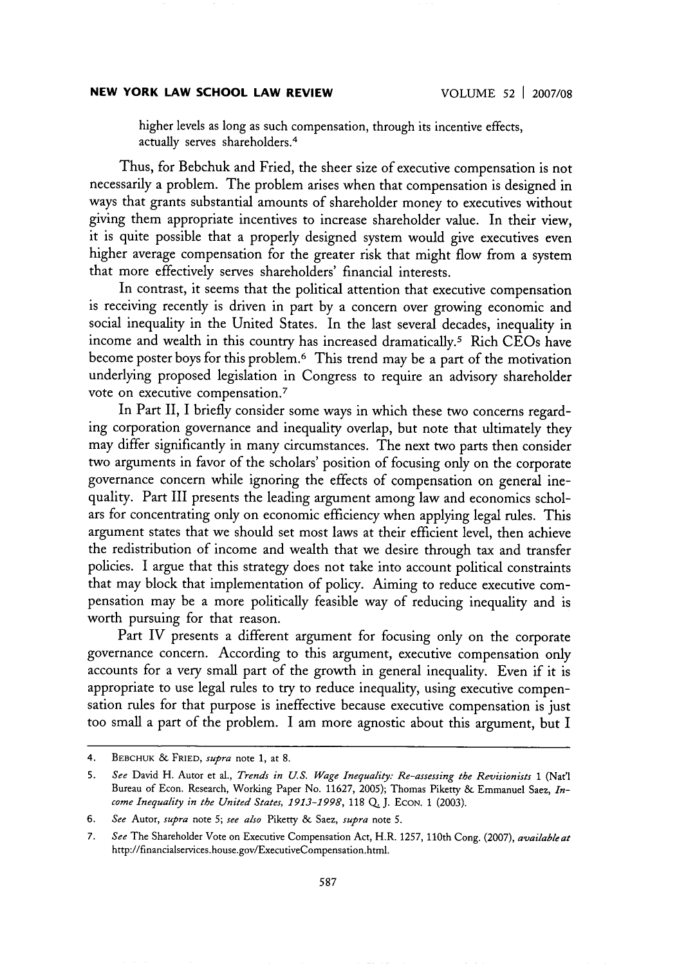higher levels as long as such compensation, through its incentive effects, actually serves shareholders. <sup>4</sup>

Thus, for Bebchuk and Fried, the sheer size of executive compensation is not necessarily a problem. The problem arises when that compensation is designed in ways that grants substantial amounts of shareholder money to executives without giving them appropriate incentives to increase shareholder value. In their view, it is quite possible that a properly designed system would give executives even higher average compensation for the greater risk that might flow from a system that more effectively serves shareholders' financial interests.

In contrast, it seems that the political attention that executive compensation is receiving recently is driven in part by a concern over growing economic and social inequality in the United States. In the last several decades, inequality in income and wealth in this country has increased dramatically.5 Rich CEOs have become poster boys for this problem.<sup>6</sup> This trend may be a part of the motivation underlying proposed legislation in Congress to require an advisory shareholder vote on executive compensation.<sup>7</sup>

In Part II, I briefly consider some ways in which these two concerns regarding corporation governance and inequality overlap, but note that ultimately they may differ significantly in many circumstances. The next two parts then consider two arguments in favor of the scholars' position of focusing only on the corporate governance concern while ignoring the effects of compensation on general inequality. Part III presents the leading argument among law and economics scholars for concentrating only on economic efficiency when applying legal rules. This argument states that we should set most laws at their efficient level, then achieve the redistribution of income and wealth that we desire through tax and transfer policies. I argue that this strategy does not take into account political constraints that may block that implementation of policy. Aiming to reduce executive compensation may be a more politically feasible way of reducing inequality and is worth pursuing for that reason.

Part IV presents a different argument for focusing only on the corporate governance concern. According to this argument, executive compensation only accounts for a very small part of the growth in general inequality. Even if it is appropriate to use legal rules to try to reduce inequality, using executive compensation rules for that purpose is ineffective because executive compensation is just too small a part of the problem. I am more agnostic about this argument, but I

<sup>4.</sup> BEBCHUK & FRIED, *supra* note 1, at 8.

<sup>5.</sup> *See* David H. Autor et al., *Trends in US. Wage Inequality Re-assessing the Revisionists* 1 (Nat'l Bureau of Econ. Research, Working Paper No. 11627, 2005); Thomas Piketty & Emmanuel Saez, *Income Inequality in the United States, 1913-1998,* 118 Q **.J. ECON.** 1 (2003).

*<sup>6.</sup> See* Autor, *supra* note *5; see also* Piketty & Saez, *supra* note 5.

*<sup>7.</sup> See* The Shareholder Vote on Executive Compensation Act, H.R. 1257, 110th Cong. (2007), *available at* http://financialservices.house.gov/ExecutiveCompensation.html.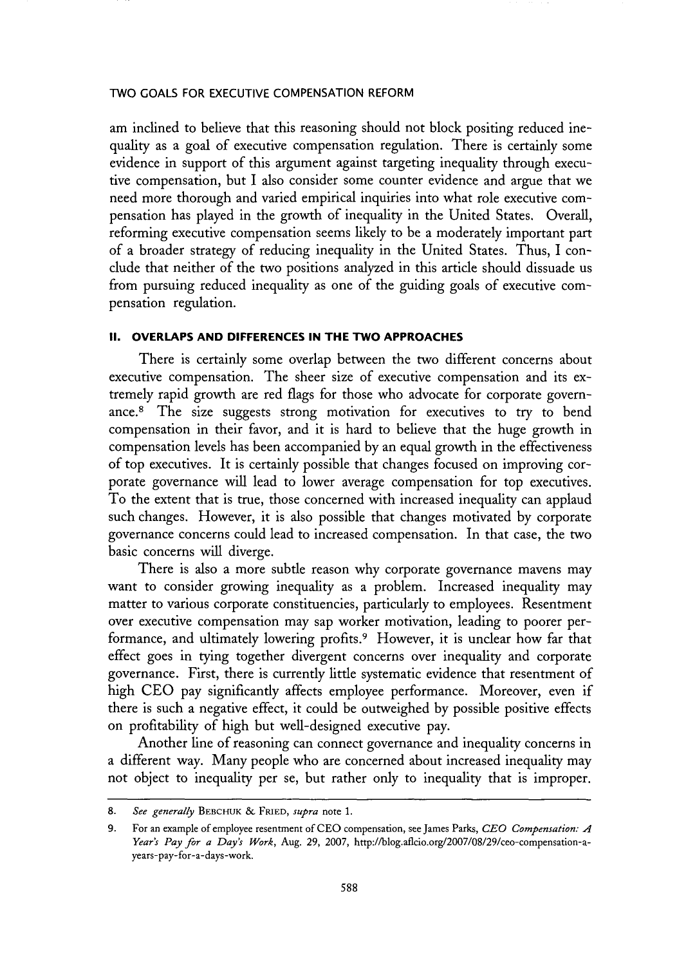am inclined to believe that this reasoning should not block positing reduced inequality as a goal of executive compensation regulation. There is certainly some evidence in support of this argument against targeting inequality through executive compensation, but I also consider some counter evidence and argue that we need more thorough and varied empirical inquiries into what role executive compensation has played in the growth of inequality in the United States. Overall, reforming executive compensation seems likely to be a moderately important part of a broader strategy of reducing inequality in the United States. Thus, I condude that neither of the two positions analyzed in this article should dissuade us from pursuing reduced inequality as one of the guiding goals of executive compensation regulation.

#### **II. OVERLAPS AND DIFFERENCES IN THE TWO APPROACHES**

There is certainly some overlap between the two different concerns about executive compensation. The sheer size of executive compensation and its extremely rapid growth are red flags for those who advocate for corporate governance.<sup>8</sup> The size suggests strong motivation for executives to try to bend compensation in their favor, and it is hard to believe that the huge growth in compensation levels has been accompanied by an equal growth in the effectiveness of top executives. It is certainly possible that changes focused on improving corporate governance will lead to lower average compensation for top executives. To the extent that is true, those concerned with increased inequality can applaud such changes. However, it is also possible that changes motivated by corporate governance concerns could lead to increased compensation. In that case, the two basic concerns will diverge.

There is also a more subtle reason why corporate governance mavens may want to consider growing inequality as a problem. Increased inequality may matter to various corporate constituencies, particularly to employees. Resentment over executive compensation may sap worker motivation, leading to poorer performance, and ultimately lowering profits.<sup>9</sup> However, it is unclear how far that effect goes in tying together divergent concerns over inequality and corporate governance. First, there is currently little systematic evidence that resentment of high CEO pay significantly affects employee performance. Moreover, even if there is such a negative effect, it could be outweighed by possible positive effects on profitability of high but well-designed executive pay.

Another line of reasoning can connect governance and inequality concerns in a different way. Many people who are concerned about increased inequality may not object to inequality per se, but rather only to inequality that is improper.

<sup>8.</sup> *See generally* BEBCHUK & FRIED, *supra* note 1.

<sup>9.</sup> For an example of employee resentment of CEO compensation, see James Parks, *CEO Compensation: A Year's Pay for a Day's Work,* Aug. 29, 2007, http://blog.aflcio.org/2007/08/29/ceo-compensation-ayears-pay-for-a-days -work.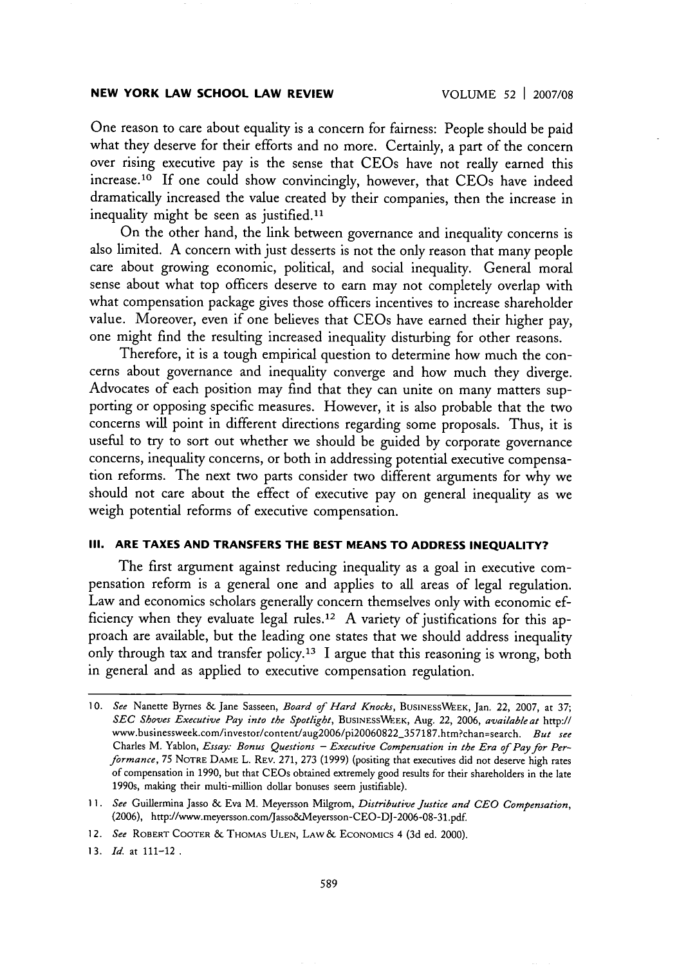One reason to care about equality is a concern for fairness: People should be paid what they deserve for their efforts and no more. Certainly, a part of the concern over rising executive pay is the sense that CEOs have not really earned this increase.<sup>10</sup> If one could show convincingly, however, that CEOs have indeed dramatically increased the value created by their companies, then the increase in inequality might be seen as justified.<sup>11</sup>

On the other hand, the link between governance and inequality concerns is also limited. A concern with just desserts is not the only reason that many people care about growing economic, political, and social inequality. General moral sense about what top officers deserve to earn may not completely overlap with what compensation package gives those officers incentives to increase shareholder value. Moreover, even if one believes that CEOs have earned their higher pay, one might find the resulting increased inequality disturbing for other reasons.

Therefore, it is a tough empirical question to determine how much the concerns about governance and inequality converge and how much they diverge. Advocates of each position may find that they can unite on many matters supporting or opposing specific measures. However, it is also probable that the two concerns will point in different directions regarding some proposals. Thus, it is useful to try to sort out whether we should be guided by corporate governance concerns, inequality concerns, or both in addressing potential executive compensation reforms. The next two parts consider two different arguments for why we should not care about the effect of executive pay on general inequality as we weigh potential reforms of executive compensation.

#### **III. ARE TAXES AND TRANSFERS THE BEST MEANS TO ADDRESS INEQUALITY?**

The first argument against reducing inequality as a goal in executive compensation reform is a general one and applies to all areas of legal regulation. Law and economics scholars generally concern themselves only with economic efficiency when they evaluate legal rules.<sup>12</sup> A variety of justifications for this approach are available, but the leading one states that we should address inequality only through tax and transfer policy.<sup>13</sup> I argue that this reasoning is wrong, both in general and as applied to executive compensation regulation.

*<sup>10.</sup> See* Nanette Byrnes & Jane Sasseen, *Board of Hard Knocks,* **BUSINESSWEK,** Jan. 22, 2007, at 37; *SEC Shoves Executive Pay into the Spotlight,* **BUSINESS'WEK,** Aug. 22, 2006, *available at* http:// www.businessweek.com/investor/content/aug2006/pi2OO60822-357187.htm?chan=search. *But see* Charles M. Yablon, *Essay: Bonus Questions* - *Executive Compensation in the Era of Pay for Performance,* 75 NOTRE **DAME** L. REv. 271, 273 **(1999)** (positing that executives did not deserve high rates of compensation in **1990,** but that CEOs obtained extremely good results for their shareholders in the late 1990s, making their multi-million dollar bonuses seem justifiable).

**<sup>11.</sup>** *See* Guillermina Jasso & Eva M. Meyersson Milgrom, *Distributive Justice and CEO Compensation,* (2006), http://www.meyersson.com/Jasso&Meyersson-CEO-DJ-2006-08-31.pdf.

*<sup>12.</sup> See* ROBERT COOTER & **THOMAS ULEN,** LAW& ECONOMICS 4 (3d ed. 2000).

<sup>13.</sup> *Id.* **at** 111-12.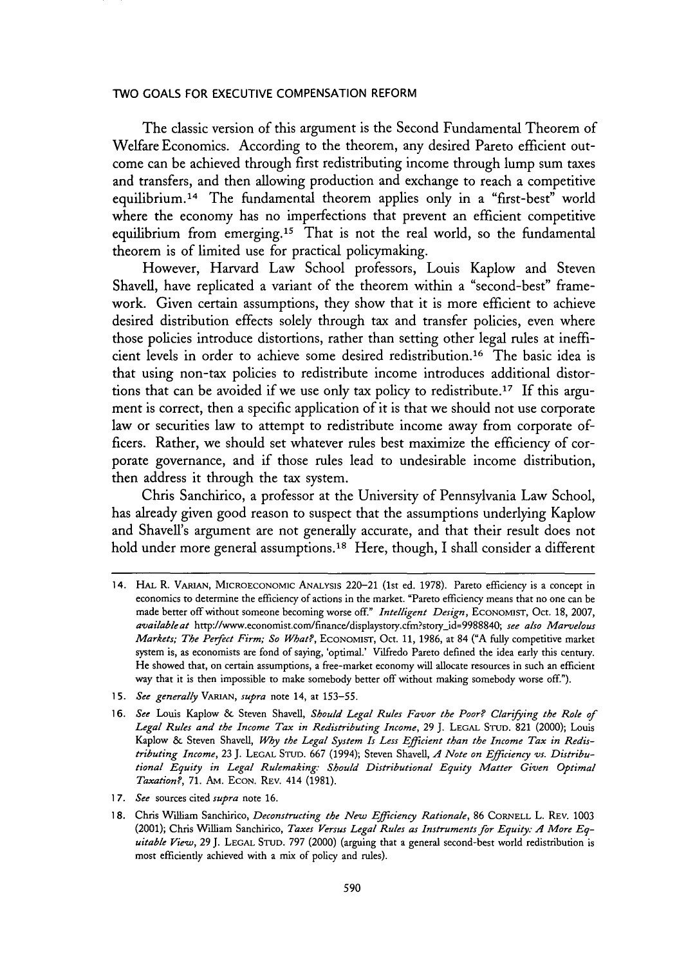The classic version of this argument is the Second Fundamental Theorem of Welfare Economics. According to the theorem, any desired Pareto efficient outcome can be achieved through first redistributing income through lump sum taxes and transfers, and then allowing production and exchange to reach a competitive equilibrium. 14 The fundamental theorem applies only in a "first-best" world where the economy has no imperfections that prevent an efficient competitive equilibrium from emerging.15 That is not the real world, so the fundamental theorem is of limited use for practical policymaking.

However, Harvard Law School professors, Louis Kaplow and Steven Shavell, have replicated a variant of the theorem within a "second-best" framework. Given certain assumptions, they show that it is more efficient to achieve desired distribution effects solely through tax and transfer policies, even where those policies introduce distortions, rather than setting other legal rules at inefficient levels in order to achieve some desired redistribution.16 The basic idea is that using non-tax policies to redistribute income introduces additional distortions that can be avoided if we use only tax policy to redistribute.17 If this argument is correct, then a specific application of it is that we should not use corporate law or securities law to attempt to redistribute income away from corporate officers. Rather, we should set whatever rules best maximize the efficiency of corporate governance, and if those rules lead to undesirable income distribution, then address it through the tax system.

Chris Sanchirico, a professor at the University of Pennsylvania Law School, has already given good reason to suspect that the assumptions underlying Kaplow and Shavell's argument are not generally accurate, and that their result does not hold under more general assumptions.<sup>18</sup> Here, though, I shall consider a different

15. *See generally VARIAN, supra* note 14, at 153-55.

*1* 7. *See* sources cited *supra* note 16.

<sup>14.</sup> HAL R. VARIAN, MICROECONOMiC ANALYsIs 220-21 (1st ed. 1978). Pareto efficiency is a concept in economics to determine the efficiency of actions in the market. "Pareto efficiency means that no one can be made better off without someone becoming worse off." *Intelligent Design,* ECONOMIST, Oct. 18, 2007, *availableat* http://www.economist.com/finance/displaystory.cfm?storyjd=9988840; *see also Marvelous Markets; The Peifect Firm; So What?,* ECONoMIST, Oct. 11, 1986, at 84 **("A fully** competitive market system is, as economists are fond of saying, 'optimal.' Vilfredo Pareto defined the idea early this century. He showed that, on certain assumptions, a free-market economy will allocate resources in such an efficient way that it is then impossible to make somebody better off without making somebody worse off.").

<sup>16.</sup> *See* Louis Kaplow & Steven Shavell, *Should Legal Rules Favor the Poor? Clarifying the Role of Legal Rules and the Income Tax in Redistributing Income,* 29 J. LEGAL STUD. 821 (2000); Louis Kaplow & Steven Shavell, *Why the Legal System Is Less Efficient than the Income Tax in Redistributing Income,* 23 J. **LEGAL** STUD. 667 (1994); Steven Shavell, *A Note on Efficiency vs. Distributional Equity in Legal Rulemaking: Should Distributional Equity Matter Given Optimal Taxation?,* 71. AM. ECON. REv. 414 (1981).

<sup>1 8.</sup> Chris William Sanchirico, *Deconstructing the New Efficiency Rationale,* 86 CORNELL L. REV. 1003 (2001); Chris William Sanchirico, *Taxes Versus Legal Rules as Instruments for Equity: A More Equitable View,* 29 J. **LEGAL STUD.** 797 (2000) (arguing that a general second-best world redistribution is most efficiently achieved with a mix of policy and rules).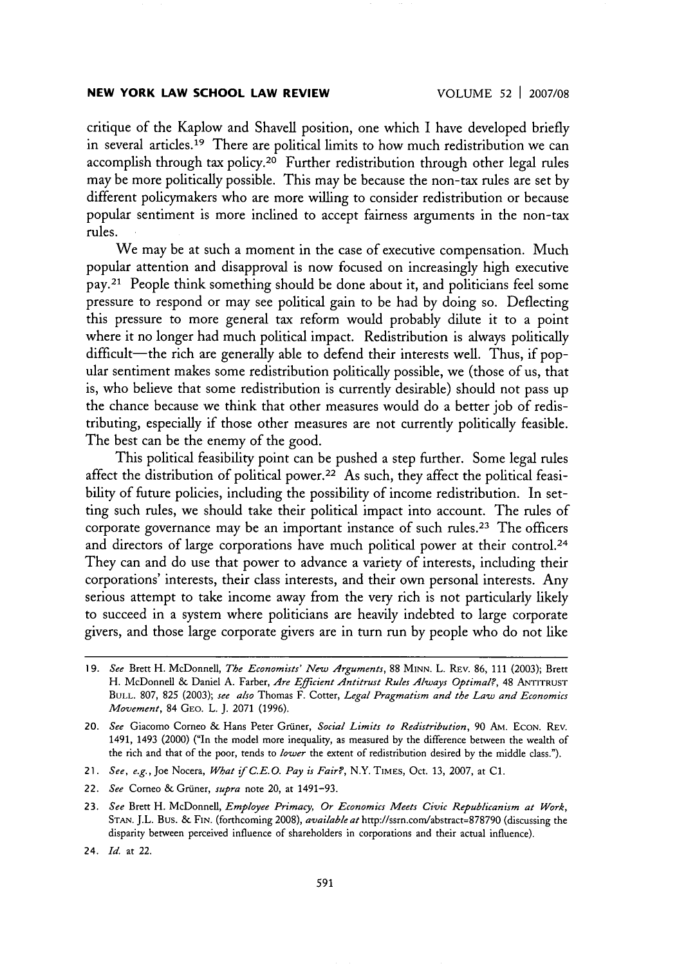critique of the Kaplow and Shavell position, one which I have developed briefly in several articles.<sup>19</sup> There are political limits to how much redistribution we can accomplish through tax policy.20 Further redistribution through other legal rules may be more politically possible. This may be because the non-tax rules are set by different policymakers who are more willing to consider redistribution or because popular sentiment is more inclined to accept fairness arguments in the non-tax rules.

We may be at such a moment in the case of executive compensation. Much popular attention and disapproval is now focused on increasingly high executive pay. 21 People think something should be done about it, and politicians feel some pressure to respond or may see political gain to be had by doing so. Deflecting this pressure to more general tax reform would probably dilute it to a point where it no longer had much political impact. Redistribution is always politically difficult-the rich are generally able to defend their interests well. Thus, if popular sentiment makes some redistribution politically possible, we (those of us, that is, who believe that some redistribution is currently desirable) should not pass up the chance because we think that other measures would do a better job of redistributing, especially if those other measures are not currently politically feasible. The best can be the enemy of the good.

This political feasibility point can be pushed a step further. Some legal rules affect the distribution of political power.22 As such, they affect the political feasibility of future policies, including the possibility of income redistribution. In setting such rules, we should take their political impact into account. The rules of corporate governance may be an important instance of such rules.<sup>23</sup> The officers and directors of large corporations have much political power at their control.<sup>24</sup> They can and do use that power to advance a variety of interests, including their corporations' interests, their class interests, and their own personal interests. Any serious attempt to take income away from the very rich is not particularly likely to succeed in a system where politicians are heavily indebted to large corporate givers, and those large corporate givers are in turn run by people who do not like

<sup>19.</sup> *See* Brett H. McDonnell, *The Economists' New Arguments,* 88 MINN. L. REv. 86, 111 (2003); Brett H. McDonnell & Daniel A. Farber, *Are Efficient Antitrust Rules Always Optimal?,* 48 ANTITRUST **BULL.** 807, 825 (2003); *see also* Thomas F. Cotter, *Legal Pragmatism and the Law and Economics Movement,* 84 GEO. L. J. 2071 (1996).

<sup>20.</sup> *See* Giacomo Corneo & Hans Peter Gruner, *Social Limits to Redistribution,* **90 AM.** ECON. REV. 1491, 1493 (2000) ("In the model more inequality, as measured by the difference between the wealth of the rich and that of the poor, tends to *lower* the extent of redistribution desired by the middle class.").

<sup>21.</sup> *See, e.g.,* Joe Nocera, *What if C.E.O. Pay is Fair?,* N.Y. TIMES, Oct. 13, 2007, at **C1.**

<sup>22.</sup> *See* Corneo & Grüner, *supra* note 20, at 1491-93.

<sup>23.</sup> *See* Brett H. McDonnell, *Employee Primacy, Or Economics Meets Civic Republicanism at Work,* **STAN.** J.L. Bus. & FIN. (forthcoming 2008), *available at* http://ssrn.com/abstract=878790 (discussing the disparity between perceived influence of shareholders in corporations and their actual influence).

<sup>24.</sup> *Id.* at 22.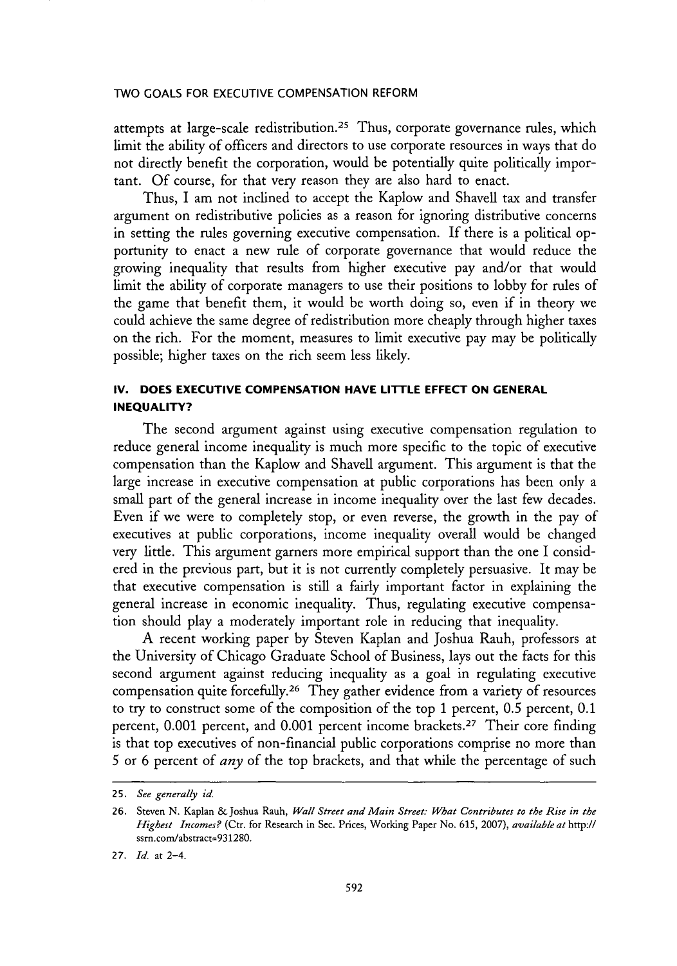attempts at large-scale redistribution.<sup>25</sup> Thus, corporate governance rules, which limit the ability of officers and directors to use corporate resources in ways that do not directly benefit the corporation, would be potentially quite politically important. Of course, for that very reason they are also hard to enact.

Thus, I am not inclined to accept the Kaplow and Shavell tax and transfer argument on redistributive policies as a reason for ignoring distributive concerns in setting the rules governing executive compensation. If there is a political opportunity to enact a new rule of corporate governance that would reduce the growing inequality that results from higher executive pay and/or that would limit the ability of corporate managers to use their positions to lobby for rules of the game that benefit them, it would be worth doing so, even if in theory we could achieve the same degree of redistribution more cheaply through higher taxes on the rich. For the moment, measures to limit executive pay may be politically possible; higher taxes on the rich seem less likely.

## **IV. DOES EXECUTIVE COMPENSATION HAVE LITTLE EFFECT ON GENERAL INEQUALITY?**

The second argument against using executive compensation regulation to reduce general income inequality is much more specific to the topic of executive compensation than the Kaplow and Shavell argument. This argument is that the large increase in executive compensation at public corporations has been only a small part of the general increase in income inequality over the last few decades. Even if we were to completely stop, or even reverse, the growth in the pay of executives at public corporations, income inequality overall would be changed very little. This argument garners more empirical support than the one I considered in the previous part, but it is not currently completely persuasive. It may be that executive compensation is still a fairly important factor in explaining the general increase in economic inequality. Thus, regulating executive compensation should play a moderately important role in reducing that inequality.

A recent working paper by Steven Kaplan and Joshua Rauh, professors at the University of Chicago Graduate School of Business, lays out the facts for this second argument against reducing inequality as a goal in regulating executive compensation quite forcefully.26 They gather evidence from a variety of resources to try to construct some of the composition of the top 1 percent, 0.5 percent, 0.1 percent, 0.001 percent, and 0.001 percent income brackets. 27 Their core finding is that top executives of non-financial public corporations comprise no more than 5 or 6 percent of *any* of the top brackets, and that while the percentage of such

<sup>25.</sup> *See generally id.*

<sup>26.</sup> Steven N. Kaplan & Joshua Rauh, *Wall Street and Main Street: What Contributes to the Rise in the Highest Incomes?* (Ctr. for Research in Sec. Prices, Working Paper No. 615, 2007), *available at http://* ssrn.com/abstract=931280.

<sup>27.</sup> *Id.* at 2-4.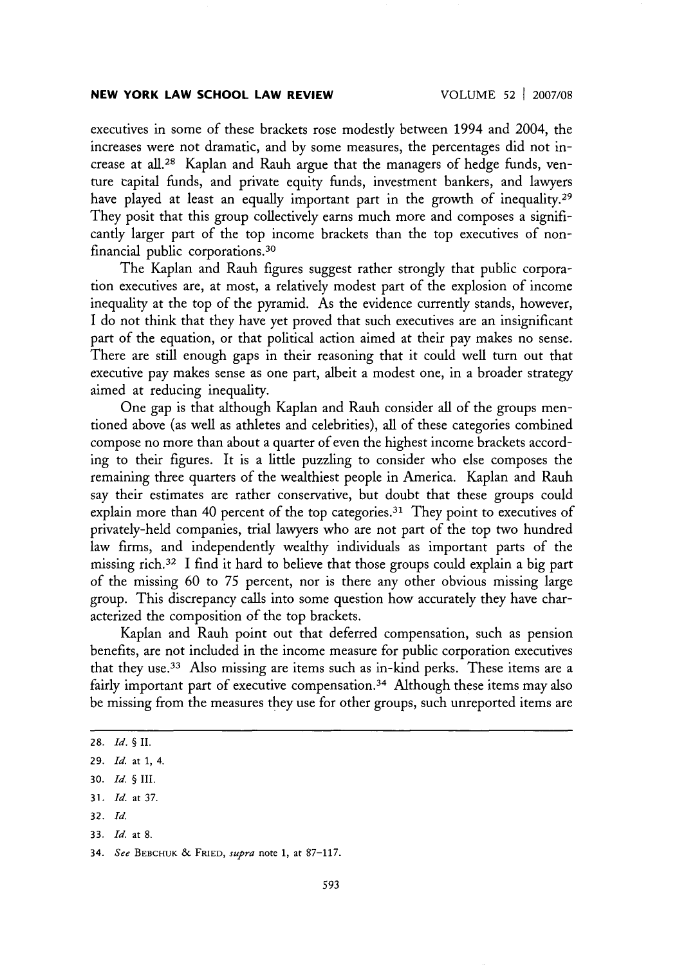executives in some of these brackets rose modestly between 1994 and 2004, the increases were not dramatic, and by some measures, the percentages did not increase at all.<sup>28</sup> Kaplan and Rauh argue that the managers of hedge funds, venture capital funds, and private equity funds, investment bankers, and lawyers have played at least an equally important part in the growth of inequality.<sup>29</sup> They posit that this group collectively earns much more and composes a significantly larger part of the top income brackets than the top executives of nonfinancial public corporations. <sup>30</sup>

The Kaplan and Rauh figures suggest rather strongly that public corporation executives are, at most, a relatively modest part of the explosion of income inequality at the top of the pyramid. As the evidence currently stands, however, I do not think that they have yet proved that such executives are an insignificant part of the equation, or that political action aimed at their pay makes no sense. There are still enough gaps in their reasoning that it could well turn out that executive pay makes sense as one part, albeit a modest one, in a broader strategy aimed at reducing inequality.

One gap is that although Kaplan and Rauh consider all of the groups mentioned above (as well as athletes and celebrities), all of these categories combined compose no more than about a quarter of even the highest income brackets according to their figures. It is a little puzzling to consider who else composes the remaining three quarters of the wealthiest people in America. Kaplan and Rauh say their estimates are rather conservative, but doubt that these groups could explain more than 40 percent of the top categories.<sup>31</sup> They point to executives of privately-held companies, trial lawyers who are not part of the top two hundred law firms, and independently wealthy individuals as important parts of the missing rich. 32 I find it hard to believe that those groups could explain a big part of the missing 60 to 75 percent, nor is there any other obvious missing large group. This discrepancy calls into some question how accurately they have characterized the composition of the top brackets.

Kaplan and Rauh point out that deferred compensation, such as pension benefits, are not included in the income measure for public corporation executives that they use. 33 Also missing are items such as in-kind perks. These items are a fairly important part of executive compensation.<sup>34</sup> Although these items may also be missing from the measures they use for other groups, such unreported items are

**32.** *Id.*

<sup>28.</sup> *Id.* § II.

**<sup>29.</sup>** *Id.* at **1,** 4.

**<sup>30.</sup>** *Id.* § **III.**

**<sup>31.</sup>** *Id.* at 37.

**<sup>33.</sup>** *Id.* at 8.

<sup>34.</sup> *See* BEBCHUK & FRIED, *supra* note **1,** at 87-117.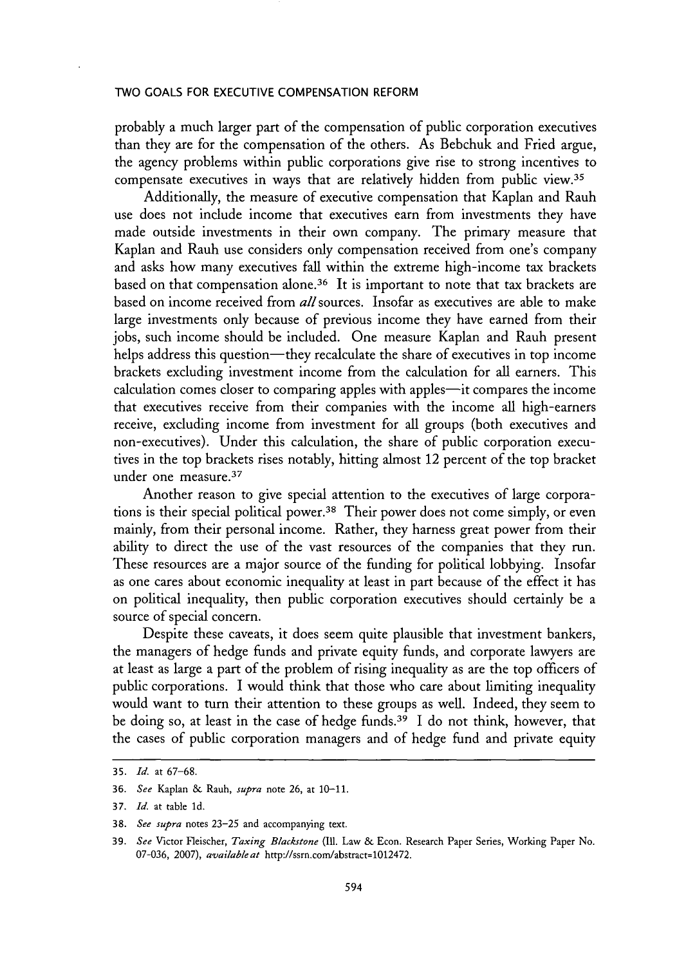probably a much larger part of the compensation of public corporation executives than they are for the compensation of the others. As Bebchuk and Fried argue, the agency problems within public corporations give rise to strong incentives to compensate executives in ways that are relatively hidden from public view.<sup>35</sup>

Additionally, the measure of executive compensation that Kaplan and Rauh use does not include income that executives earn from investments they have made outside investments in their own company. The primary measure that Kaplan and Rauh use considers only compensation received from one's company and asks how many executives fall within the extreme high-income tax brackets based on that compensation alone. 36 It is important to note that tax brackets are based on income received from *all* sources. Insofar as executives are able to make large investments only because of previous income they have earned from their jobs, such income should be included. One measure Kaplan and Rauh present helps address this question-they recalculate the share of executives in top income brackets excluding investment income from the calculation for all earners. This calculation comes closer to comparing apples with apples—it compares the income that executives receive from their companies with the income all high-earners receive, excluding income from investment for all groups (both executives and non-executives). Under this calculation, the share of public corporation executives in the top brackets rises notably, hitting almost 12 percent of the top bracket under one measure. <sup>37</sup>

Another reason to give special attention to the executives of large corporations is their special political power.38 Their power does not come simply, or even mainly, from their personal income. Rather, they harness great power from their ability to direct the use of the vast resources of the companies that they run. These resources are a major source of the funding for political lobbying. Insofar as one cares about economic inequality at least in part because of the effect it has on political inequality, then public corporation executives should certainly be a source of special concern.

Despite these caveats, it does seem quite plausible that investment bankers, the managers of hedge funds and private equity funds, and corporate lawyers are at least as large a part of the problem of rising inequality as are the top officers of public corporations. I would think that those who care about limiting inequality would want to turn their attention to these groups as well. Indeed, they seem to be doing so, at least in the case of hedge funds.<sup>39</sup> I do not think, however, that the cases of public corporation managers and of hedge fund and private equity

<sup>35.</sup> *Id.* at 67-68.

<sup>36.</sup> *See* Kaplan & Rauh, *supra* note 26, at 10-11.

<sup>37.</sup> *Id.* at table **ld.**

<sup>38.</sup> *See supra* notes 23-25 and accompanying text.

<sup>39.</sup> *See* Victor Fleischer, *Taxing Blackstone (Ill.* Law & Econ. Research Paper Series, Working Paper No. 07-036, 2007), *available at* http://ssrn.com/abstract=1012472.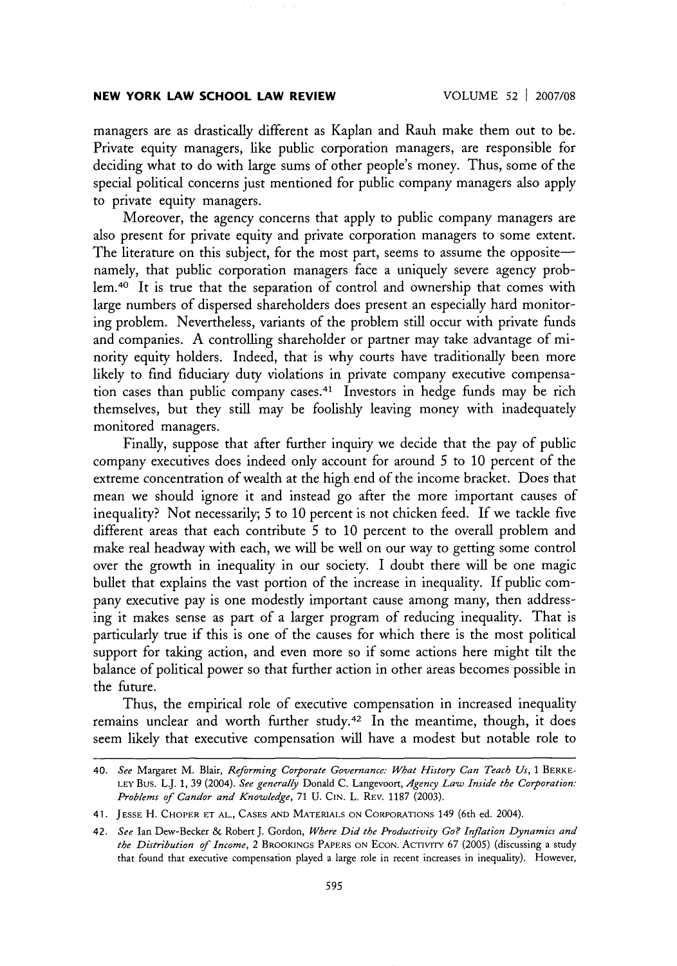managers are as drastically different as Kaplan and Rauh make them out to be. Private equity managers, like public corporation managers, are responsible for deciding what to do with large sums of other people's money. Thus, some of the special political concerns just mentioned for public company managers also apply to private equity managers.

Moreover, the agency concerns that apply to public company managers are also present for private equity and private corporation managers to some extent. The literature on this subject, for the most part, seems to assume the oppositenamely, that public corporation managers face a uniquely severe agency prob**lem. <sup>40</sup>**It is true that the separation of control and ownership that comes with large numbers of dispersed shareholders does present an especially hard monitoring problem. Nevertheless, variants of the problem still occur with private funds and companies. A controlling shareholder or partner may take advantage of minority equity holders. Indeed, that is why courts have traditionally been more likely to find fiduciary duty violations in private company executive compensation cases than public company cases.<sup>41</sup> Investors in hedge funds may be rich themselves, but they still may be foolishly leaving money with inadequately monitored managers.

Finally, suppose that after further inquiry we decide that the pay of public company executives does indeed only account for around 5 to 10 percent of the extreme concentration of wealth at the high end of the income bracket. Does that mean we should ignore it and instead go after the more important causes of inequality? Not necessarily; 5 to 10 percent is not chicken feed. If we tackle five different areas that each contribute 5 to 10 percent to the overall problem and make real headway with each, we will be well on our way to getting some control over the growth in inequality in our society. I doubt there will be one magic bullet that explains the vast portion of the increase in inequality. If public company executive pay is one modestly important cause among many, then addressing it makes sense as part of a larger program of reducing inequality. That is particularly true if this is one of the causes for which there is the most political support for taking action, and even more so if some actions here might tilt the balance of political power so that further action in other areas becomes possible in the future.

Thus, the empirical role of executive compensation in increased inequality remains unclear and worth further study.<sup>42</sup> In the meantime, though, it does seem likely that executive compensation will have a modest but notable role to

<sup>40.</sup> *See* Margaret M. Blair, *Reforming Corporate Governance: What History Can Teach Us,* 1 BERKE-**LEY** Bus. L.J. 1, 39 (2004). *See generally* Donald C. Langevoort, *Agency Law Inside the Corporation: Problems of Candor and Knowledge,* 71 U. **CIN.** L. REV. 1187 (2003).

<sup>41.</sup> JESSE H. CHOPER **ET AL., CASES AND MATERIALS ON** CORPORATIONS 149 (6th ed. 2004).

<sup>42.</sup> *See* Ian Dew-Becker & Robert J. Gordon, *Where Did the Productivity Go? Inflation Dynamics and the Distribution of Income,* 2 BROOKINGS PAPERS **ON ECON.** AcTIVITY 67 (2005) (discussing a study that found that executive compensation played a large role in recent increases in inequality). However,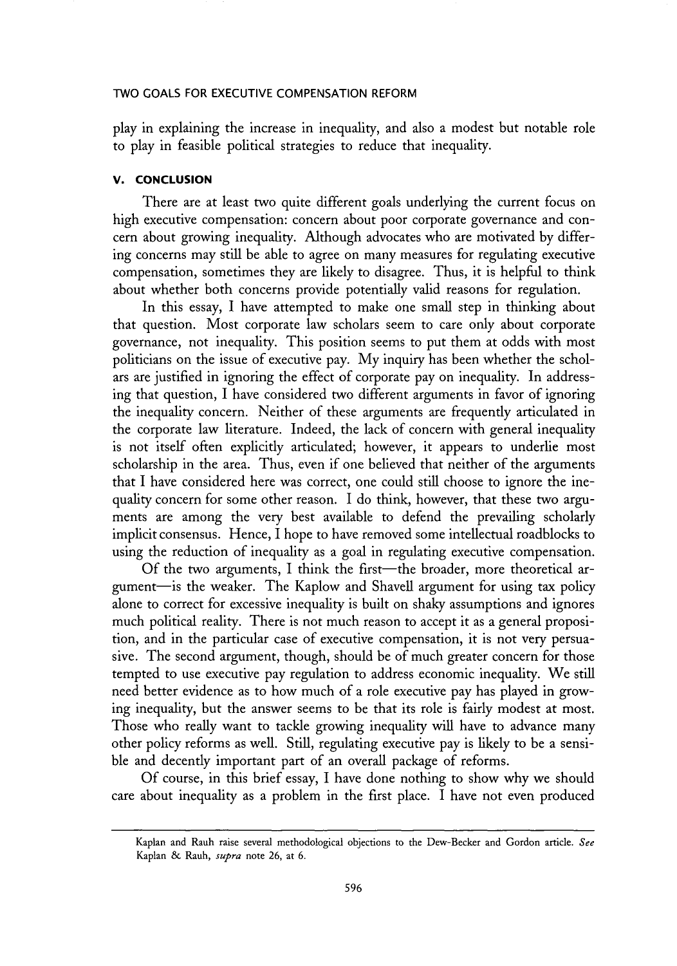play in explaining the increase in inequality, and also a modest but notable role to play in feasible political strategies to reduce that inequality.

### **V. CONCLUSION**

There are at least two quite different goals underlying the current focus on high executive compensation: concern about poor corporate governance and concern about growing inequality. Although advocates who are motivated by differing concerns may still be able to agree on many measures for regulating executive compensation, sometimes they are likely to disagree. Thus, it is helpful to think about whether both concerns provide potentially valid reasons for regulation.

In this essay, I have attempted to make one small step in thinking about that question. Most corporate law scholars seem to care only about corporate governance, not inequality. This position seems to put them at odds with most politicians on the issue of executive pay. My inquiry has been whether the scholars are justified in ignoring the effect of corporate pay on inequality. In addressing that question, I have considered two different arguments in favor of ignoring the inequality concern. Neither of these arguments are frequently articulated in the corporate law literature. Indeed, the lack of concern with general inequality is not itself often explicitly articulated; however, it appears to underlie most scholarship in the area. Thus, even if one believed that neither of the arguments that I have considered here was correct, one could still choose to ignore the inequality concern for some other reason. I do think, however, that these two arguments are among the very best available to defend the prevailing scholarly implicit consensus. Hence, I hope to have removed some intellectual roadblocks to using the reduction of inequality as a goal in regulating executive compensation.

Of the two arguments, I think the first—the broader, more theoretical argument-is the weaker. The Kaplow and Shavell argument for using tax policy alone to correct for excessive inequality is built on shaky assumptions and ignores much political reality. There is not much reason to accept it as a general proposition, and in the particular case of executive compensation, it is not very persuasive. The second argument, though, should be of much greater concern for those tempted to use executive pay regulation to address economic inequality. We still need better evidence as to how much of a role executive pay has played in growing inequality, but the answer seems to be that its role is fairly modest at most. Those who really want to tackle growing inequality will have to advance many other policy reforms as well. Still, regulating executive pay is likely to be a sensible and decently important part of an overall package of reforms.

Of course, in this brief essay, I have done nothing to show why we should care about inequality as a problem in the first place. I have not even produced

Kaplan and Rauh raise several methodological objections to the Dew-Becker and Gordon article. *See* Kaplan **&** Rauh, *supra* note 26, at 6.